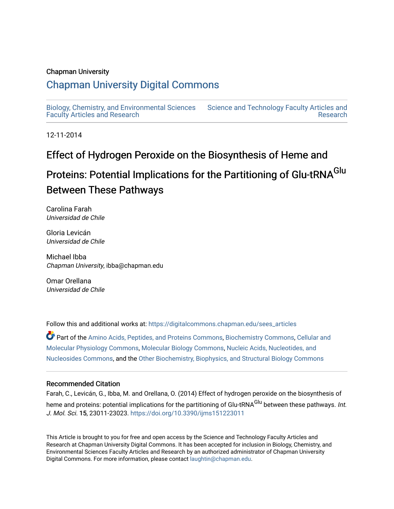#### Chapman University

## [Chapman University Digital Commons](https://digitalcommons.chapman.edu/)

[Biology, Chemistry, and Environmental Sciences](https://digitalcommons.chapman.edu/sees_articles) [Faculty Articles and Research](https://digitalcommons.chapman.edu/sees_articles) [Science and Technology Faculty Articles and](https://digitalcommons.chapman.edu/science_articles) 

12-11-2014

## Effect of Hydrogen Peroxide on the Biosynthesis of Heme and

# Proteins: Potential Implications for the Partitioning of Glu-tRNA<sup>Glu</sup> Between These Pathways

[Research](https://digitalcommons.chapman.edu/science_articles) 

Carolina Farah Universidad de Chile

Gloria Levicán Universidad de Chile

Michael Ibba Chapman University, ibba@chapman.edu

Omar Orellana Universidad de Chile

Follow this and additional works at: [https://digitalcommons.chapman.edu/sees\\_articles](https://digitalcommons.chapman.edu/sees_articles?utm_source=digitalcommons.chapman.edu%2Fsees_articles%2F397&utm_medium=PDF&utm_campaign=PDFCoverPages) 

Part of the [Amino Acids, Peptides, and Proteins Commons](http://network.bepress.com/hgg/discipline/954?utm_source=digitalcommons.chapman.edu%2Fsees_articles%2F397&utm_medium=PDF&utm_campaign=PDFCoverPages), [Biochemistry Commons](http://network.bepress.com/hgg/discipline/2?utm_source=digitalcommons.chapman.edu%2Fsees_articles%2F397&utm_medium=PDF&utm_campaign=PDFCoverPages), [Cellular and](http://network.bepress.com/hgg/discipline/70?utm_source=digitalcommons.chapman.edu%2Fsees_articles%2F397&utm_medium=PDF&utm_campaign=PDFCoverPages) [Molecular Physiology Commons,](http://network.bepress.com/hgg/discipline/70?utm_source=digitalcommons.chapman.edu%2Fsees_articles%2F397&utm_medium=PDF&utm_campaign=PDFCoverPages) [Molecular Biology Commons](http://network.bepress.com/hgg/discipline/5?utm_source=digitalcommons.chapman.edu%2Fsees_articles%2F397&utm_medium=PDF&utm_campaign=PDFCoverPages), [Nucleic Acids, Nucleotides, and](http://network.bepress.com/hgg/discipline/935?utm_source=digitalcommons.chapman.edu%2Fsees_articles%2F397&utm_medium=PDF&utm_campaign=PDFCoverPages)  [Nucleosides Commons,](http://network.bepress.com/hgg/discipline/935?utm_source=digitalcommons.chapman.edu%2Fsees_articles%2F397&utm_medium=PDF&utm_campaign=PDFCoverPages) and the [Other Biochemistry, Biophysics, and Structural Biology Commons](http://network.bepress.com/hgg/discipline/7?utm_source=digitalcommons.chapman.edu%2Fsees_articles%2F397&utm_medium=PDF&utm_campaign=PDFCoverPages)

#### Recommended Citation

Farah, C., Levicán, G., Ibba, M. and Orellana, O. (2014) Effect of hydrogen peroxide on the biosynthesis of heme and proteins: potential implications for the partitioning of Glu-tRNA<sup>Glu</sup> between these pathways. *Int.* J. Mol. Sci. 15, 23011-23023. <https://doi.org/10.3390/ijms151223011>

This Article is brought to you for free and open access by the Science and Technology Faculty Articles and Research at Chapman University Digital Commons. It has been accepted for inclusion in Biology, Chemistry, and Environmental Sciences Faculty Articles and Research by an authorized administrator of Chapman University Digital Commons. For more information, please contact [laughtin@chapman.edu](mailto:laughtin@chapman.edu).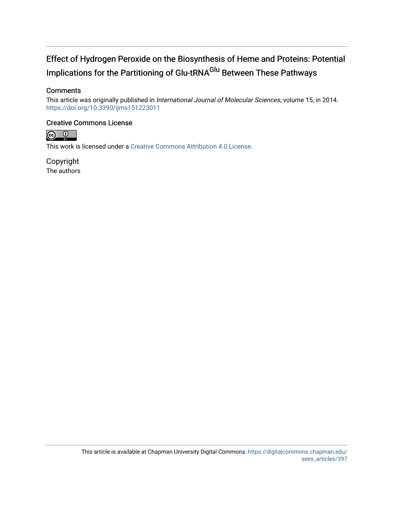## Effect of Hydrogen Peroxide on the Biosynthesis of Heme and Proteins: Potential Implications for the Partitioning of Glu-tRNA<sup>Glu</sup> Between These Pathways

#### **Comments**

This article was originally published in International Journal of Molecular Sciences, volume 15, in 2014. <https://doi.org/10.3390/ijms151223011>

#### Creative Commons License



This work is licensed under a [Creative Commons Attribution 4.0 License](https://creativecommons.org/licenses/by/4.0/).

Copyright The authors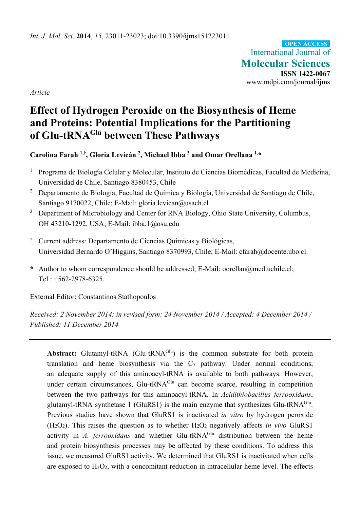International Journal of **Molecular Sciences ISSN 1422-0067**  www.mdpi.com/journal/ijms **OPEN ACCESS**

*Article* 

## **Effect of Hydrogen Peroxide on the Biosynthesis of Heme and Proteins: Potential Implications for the Partitioning of Glu-tRNAGlu between These Pathways**

## **Carolina Farah 1,†, Gloria Levicán 2, Michael Ibba 3 and Omar Orellana 1,\***

- <sup>1</sup> Programa de Biología Celular y Molecular, Instituto de Ciencias Biomédicas, Facultad de Medicina, Universidad de Chile, Santiago 8380453, Chile
- <sup>2</sup> Departamento de Biología, Facultad de Química y Biología, Universidad de Santiago de Chile, Santiago 9170022, Chile; E-Mail: gloria.levican@usach.cl
- <sup>3</sup> Department of Microbiology and Center for RNA Biology, Ohio State University, Columbus, OH 43210-1292, USA; E-Mail: ibba.1@osu.edu
- **†** Current address: Departamento de Ciencias Químicas y Biológicas, Universidad Bernardo O'Higgins, Santiago 8370993, Chile; E-Mail: cfarah@docente.ubo.cl.
- **\*** Author to whom correspondence should be addressed; E-Mail: oorellan@med.uchile.cl; Tel.:  $+562-2978-6325$ .

External Editor: Constantinos Stathopoulos

*Received: 2 November 2014; in revised form: 24 November 2014 / Accepted: 4 December 2014 / Published: 11 December 2014* 

Abstract: Glutamyl-tRNA (Glu-tRNA<sup>Glu</sup>) is the common substrate for both protein translation and heme biosynthesis via the C5 pathway. Under normal conditions, an adequate supply of this aminoacyl-tRNA is available to both pathways. However, under certain circumstances, Glu-tRNA<sup>Glu</sup> can become scarce, resulting in competition between the two pathways for this aminoacyl-tRNA. In *Acidithiobacillus ferrooxidans*, glutamyl-tRNA synthetase 1 (GluRS1) is the main enzyme that synthesizes Glu-tRNA<sup>Glu</sup>. Previous studies have shown that GluRS1 is inactivated *in vitro* by hydrogen peroxide (H2O2). This raises the question as to whether H2O2 negatively affects *in vivo* GluRS1 activity in *A. ferrooxidans* and whether Glu-tRNA<sup>Glu</sup> distribution between the heme and protein biosynthesis processes may be affected by these conditions. To address this issue, we measured GluRS1 activity. We determined that GluRS1 is inactivated when cells are exposed to  $H_2O_2$ , with a concomitant reduction in intracellular heme level. The effects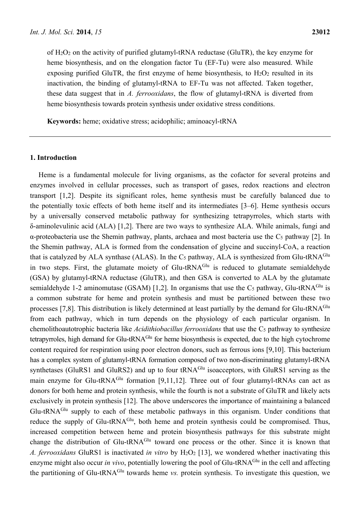of H2O2 on the activity of purified glutamyl-tRNA reductase (GluTR), the key enzyme for heme biosynthesis, and on the elongation factor Tu (EF-Tu) were also measured. While exposing purified GluTR, the first enzyme of heme biosynthesis, to  $H_2O_2$  resulted in its inactivation, the binding of glutamyl-tRNA to EF-Tu was not affected. Taken together, these data suggest that in *A. ferrooxidans*, the flow of glutamyl-tRNA is diverted from heme biosynthesis towards protein synthesis under oxidative stress conditions.

**Keywords:** heme; oxidative stress; acidophilic; aminoacyl-tRNA

#### **1. Introduction**

Heme is a fundamental molecule for living organisms, as the cofactor for several proteins and enzymes involved in cellular processes, such as transport of gases, redox reactions and electron transport [1,2]. Despite its significant roles, heme synthesis must be carefully balanced due to the potentially toxic effects of both heme itself and its intermediates [3–6]. Heme synthesis occurs by a universally conserved metabolic pathway for synthesizing tetrapyrroles, which starts with δ-aminolevulinic acid (ALA) [1,2]. There are two ways to synthesize ALA. While animals, fungi and α-proteobacteria use the Shemin pathway, plants, archaea and most bacteria use the C5 pathway [2]. In the Shemin pathway, ALA is formed from the condensation of glycine and succinyl-CoA, a reaction that is catalyzed by ALA synthase (ALAS). In the  $C_5$  pathway, ALA is synthesized from Glu-tRNA<sup>Glu</sup> in two steps. First, the glutamate moiety of Glu-tRNA<sup>Glu</sup> is reduced to glutamate semialdehyde (GSA) by glutamyl-tRNA reductase (GluTR), and then GSA is converted to ALA by the glutamate semialdehyde 1-2 aminomutase (GSAM) [1,2]. In organisms that use the  $C_5$  pathway, Glu-tRNA<sup>Glu</sup> is a common substrate for heme and protein synthesis and must be partitioned between these two processes [7,8]. This distribution is likely determined at least partially by the demand for Glu-tRNA<sup>Glu</sup> from each pathway, which in turn depends on the physiology of each particular organism. In chemolithoautotrophic bacteria like *Acidithiobacillus ferrooxidans* that use the C5 pathway to synthesize tetrapyrroles, high demand for Glu-tRNA<sup>Glu</sup> for heme biosynthesis is expected, due to the high cytochrome content required for respiration using poor electron donors, such as ferrous ions [9,10]. This bacterium has a complex system of glutamyl-tRNA formation composed of two non-discriminating glutamyl-tRNA synthetases (GluRS1 and GluRS2) and up to four tRNA<sup>Glu</sup> isoacceptors, with GluRS1 serving as the main enzyme for Glu-tRNA<sup>Glu</sup> formation [9,11,12]. Three out of four glutamyl-tRNAs can act as donors for both heme and protein synthesis, while the fourth is not a substrate of GluTR and likely acts exclusively in protein synthesis [12]. The above underscores the importance of maintaining a balanced Glu-tRNAGlu supply to each of these metabolic pathways in this organism. Under conditions that reduce the supply of Glu-tRNA<sup>Glu</sup>, both heme and protein synthesis could be compromised. Thus, increased competition between heme and protein biosynthesis pathways for this substrate might change the distribution of Glu-tRNA<sup>Glu</sup> toward one process or the other. Since it is known that *A. ferrooxidans* GluRS1 is inactivated *in vitro* by H2O2 [13], we wondered whether inactivating this enzyme might also occur *in vivo*, potentially lowering the pool of Glu-tRNA<sup>Glu</sup> in the cell and affecting the partitioning of Glu-tRNAGlu towards heme *vs.* protein synthesis. To investigate this question, we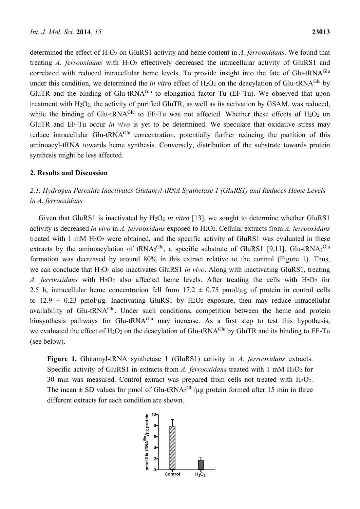determined the effect of H2O2 on GluRS1 activity and heme content in *A. ferrooxidans*. We found that treating *A. ferrooxidans* with H<sub>2</sub>O<sub>2</sub> effectively decreased the intracellular activity of GluRS1 and correlated with reduced intracellular heme levels. To provide insight into the fate of Glu-tRNA<sup>Glu</sup> under this condition, we determined the *in vitro* effect of H<sub>2</sub>O<sub>2</sub> on the deacylation of Glu-tRNA<sup>Glu</sup> by GluTR and the binding of Glu-tRNA<sup>Glu</sup> to elongation factor Tu (EF-Tu). We observed that upon treatment with H<sub>2</sub>O<sub>2</sub>, the activity of purified GluTR, as well as its activation by GSAM, was reduced. while the binding of Glu-tRNA<sup>Glu</sup> to EF-Tu was not affected. Whether these effects of  $H_2O_2$  on GluTR and EF-Tu occur *in vivo* is yet to be determined. We speculate that oxidative stress may reduce intracellular Glu-tRNA<sup>Glu</sup> concentration, potentially further reducing the partition of this aminoacyl-tRNA towards heme synthesis. Conversely, distribution of the substrate towards protein synthesis might be less affected.

#### **2. Results and Discussion**

## *2.1. Hydrogen Peroxide Inactivates Glutamyl-tRNA Synthetase 1 (GluRS1) and Reduces Heme Levels in A. ferrooxidans*

Given that GluRS1 is inactivated by H<sub>2</sub>O<sub>2</sub> in vitro [13], we sought to determine whether GluRS1 activity is decreased *in vivo* in *A. ferrooxidans* exposed to H2O2. Cellular extracts from *A. ferrooxidans*  treated with 1 mM H2O2 were obtained, and the specific activity of GluRS1 was evaluated in these extracts by the aminoacylation of tRNA<sub>2</sub><sup>Glu</sup>, a specific substrate of GluRS1 [9,11]. Glu-tRNA<sub>2</sub><sup>Glu</sup> formation was decreased by around 80% in this extract relative to the control (Figure 1). Thus, we can conclude that H2O2 also inactivates GluRS1 *in vivo*. Along with inactivating GluRS1, treating *A. ferrooxidans* with H2O2 also affected heme levels. After treating the cells with H2O2 for 2.5 h, intracellular heme concentration fell from  $17.2 \pm 0.75$  pmol/µg of protein in control cells to  $12.9 \pm 0.23$  pmol/µg. Inactivating GluRS1 by H<sub>2</sub>O<sub>2</sub> exposure, then may reduce intracellular availability of Glu-tRNA<sup>Glu</sup>. Under such conditions, competition between the heme and protein biosynthesis pathways for Glu-tRNA<sup>Glu</sup> may increase. As a first step to test this hypothesis, we evaluated the effect of  $H_2O_2$  on the deacylation of Glu-tRNA<sup>Glu</sup> by GluTR and its binding to EF-Tu (see below).

**Figure 1.** Glutamyl-tRNA synthetase 1 (GluRS1) activity in *A. ferrooxidans* extracts. Specific activity of GluRS1 in extracts from *A. ferrooxidans* treated with 1 mM H<sub>2</sub>O<sub>2</sub> for 30 min was measured. Control extract was prepared from cells not treated with  $H_2O_2$ . The mean  $\pm$  SD values for pmol of Glu-tRNA<sub>2</sub><sup>Glu</sup>/µg protein formed after 15 min in three different extracts for each condition are shown.

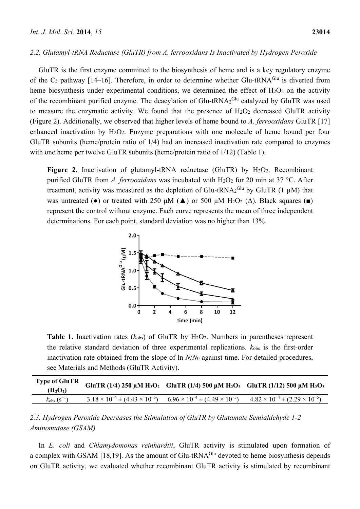#### *2.2. Glutamyl-tRNA Reductase (GluTR) from A. ferrooxidans Is Inactivated by Hydrogen Peroxide*

GluTR is the first enzyme committed to the biosynthesis of heme and is a key regulatory enzyme of the  $Cs$  pathway [14–16]. Therefore, in order to determine whether Glu-tRNA $G<sup>lu</sup>$  is diverted from heme biosynthesis under experimental conditions, we determined the effect of  $H_2O_2$  on the activity of the recombinant purified enzyme. The deacylation of Glu-tRNA $_2$ <sup>Glu</sup> catalyzed by GluTR was used to measure the enzymatic activity. We found that the presence of  $H_2O_2$  decreased GluTR activity (Figure 2). Additionally, we observed that higher levels of heme bound to *A. ferrooxidans* GluTR [17] enhanced inactivation by H2O2. Enzyme preparations with one molecule of heme bound per four GluTR subunits (heme/protein ratio of 1/4) had an increased inactivation rate compared to enzymes with one heme per twelve GluTR subunits (heme/protein ratio of  $1/12$ ) (Table 1).

**Figure 2.** Inactivation of glutamyl-tRNA reductase (GluTR) by H<sub>2</sub>O<sub>2</sub>. Recombinant purified GluTR from *A. ferrooxidans* was incubated with H<sub>2</sub>O<sub>2</sub> for 20 min at 37 °C. After treatment, activity was measured as the depletion of Glu-tRNA<sub>2</sub><sup>Glu</sup> by GluTR (1  $\mu$ M) that was untreated ( $\bullet$ ) or treated with 250 μM ( $\blacktriangle$ ) or 500 μM H<sub>2</sub>O<sub>2</sub> ( $\triangle$ ). Black squares ( $\blacksquare$ ) represent the control without enzyme. Each curve represents the mean of three independent determinations. For each point, standard deviation was no higher than 13%.



**Table 1.** Inactivation rates  $(k_{obs})$  of GluTR by  $H_2O_2$ . Numbers in parentheses represent the relative standard deviation of three experimental replications. *k*obs is the first-order inactivation rate obtained from the slope of ln *N*/*N*0 against time. For detailed procedures, see Materials and Methods (GluTR Activity).

| <b>Type of GluTR</b><br>(H <sub>2</sub> O <sub>2</sub> ) |                                                 |                                                 | GluTR (1/4) 250 $\mu$ M H <sub>2</sub> O <sub>2</sub> GluTR (1/4) 500 $\mu$ M H <sub>2</sub> O <sub>2</sub> GluTR (1/12) 500 $\mu$ M H <sub>2</sub> O <sub>2</sub> |
|----------------------------------------------------------|-------------------------------------------------|-------------------------------------------------|--------------------------------------------------------------------------------------------------------------------------------------------------------------------|
| $k_{\text{obs}}$ (s <sup>-1</sup> )                      | $3.18 \times 10^{-4} \pm (4.43 \times 10^{-5})$ | $6.96 \times 10^{-4} \pm (4.49 \times 10^{-5})$ | $4.82 \times 10^{-4} \pm (2.29 \times 10^{-5})$                                                                                                                    |

*2.3. Hydrogen Peroxide Decreases the Stimulation of GluTR by Glutamate Semialdehyde 1-2 Aminomutase (GSAM)* 

In *E. coli* and *Chlamydomonas reinhardtii*, GluTR activity is stimulated upon formation of a complex with GSAM [18,19]. As the amount of Glu-tRNA<sup>Glu</sup> devoted to heme biosynthesis depends on GluTR activity, we evaluated whether recombinant GluTR activity is stimulated by recombinant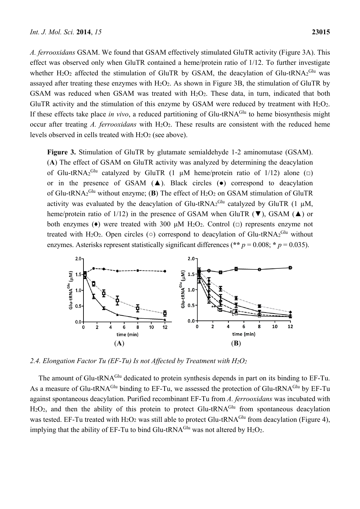*A. ferrooxidans* GSAM. We found that GSAM effectively stimulated GluTR activity (Figure 3A). This effect was observed only when GluTR contained a heme/protein ratio of 1/12. To further investigate whether H<sub>2</sub>O<sub>2</sub> affected the stimulation of GluTR by GSAM, the deacylation of Glu-tRNA<sub>2</sub><sup>Glu</sup> was assayed after treating these enzymes with  $H_2O_2$ . As shown in Figure 3B, the stimulation of GluTR by GSAM was reduced when GSAM was treated with H<sub>2</sub>O<sub>2</sub>. These data, in turn, indicated that both GluTR activity and the stimulation of this enzyme by GSAM were reduced by treatment with  $H_2O_2$ . If these effects take place *in vivo*, a reduced partitioning of Glu-tRNA<sup>Glu</sup> to heme biosynthesis might occur after treating *A. ferrooxidans* with H<sub>2</sub>O<sub>2</sub>. These results are consistent with the reduced heme levels observed in cells treated with  $H_2O_2$  (see above).

**Figure 3.** Stimulation of GluTR by glutamate semialdehyde 1-2 aminomutase (GSAM). (**A**) The effect of GSAM on GluTR activity was analyzed by determining the deacylation of Glu-tRNA<sub>2</sub><sup>Glu</sup> catalyzed by GluTR (1  $\mu$ M heme/protein ratio of 1/12) alone ( $\Box$ ) or in the presence of GSAM  $(A)$ . Black circles  $(\bullet)$  correspond to deacylation of Glu-tRNA<sub>2</sub><sup>Glu</sup> without enzyme; (**B**) The effect of H<sub>2</sub>O<sub>2</sub> on GSAM stimulation of GluTR activity was evaluated by the deacylation of Glu-tRNA<sub>2</sub><sup>Glu</sup> catalyzed by GluTR (1  $\mu$ M, heme/protein ratio of 1/12) in the presence of GSAM when GluTR  $(\blacktriangledown)$ , GSAM  $(\blacktriangle)$  or both enzymes (♦) were treated with 300 μM H2O2. Control (**□**) represents enzyme not treated with H<sub>2</sub>O<sub>2</sub>. Open circles ( $\circ$ ) correspond to deacylation of Glu-tRNA<sub>2</sub><sup>Glu</sup> without enzymes. Asterisks represent statistically significant differences (\*\*  $p = 0.008$ ; \*  $p = 0.035$ ).



*2.4. Elongation Factor Tu (EF-Tu) Is not Affected by Treatment with H2O2*

The amount of Glu-tRNA<sup>Glu</sup> dedicated to protein synthesis depends in part on its binding to EF-Tu. As a measure of Glu-tRNA<sup>Glu</sup> binding to EF-Tu, we assessed the protection of Glu-tRNA<sup>Glu</sup> by EF-Tu against spontaneous deacylation. Purified recombinant EF-Tu from *A. ferrooxidans* was incubated with  $H_2O_2$ , and then the ability of this protein to protect Glu-tRNA<sup>Glu</sup> from spontaneous deacylation was tested. EF-Tu treated with  $H_2O_2$  was still able to protect Glu-tRNA<sup>Glu</sup> from deacylation (Figure 4), implying that the ability of EF-Tu to bind Glu-tRNA<sup>Glu</sup> was not altered by  $H_2O_2$ .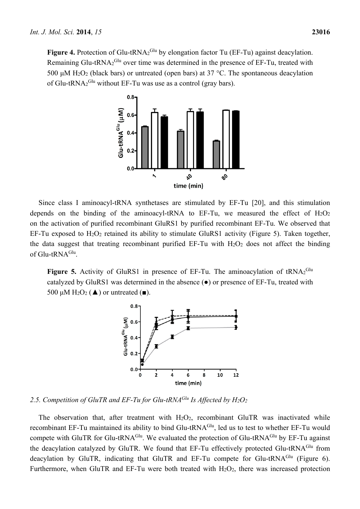Figure 4. Protection of Glu-tRNA2<sup>Glu</sup> by elongation factor Tu (EF-Tu) against deacylation. Remaining Glu-tRNA $2^{\text{Glu}}$  over time was determined in the presence of EF-Tu, treated with 500 μM H<sub>2</sub>O<sub>2</sub> (black bars) or untreated (open bars) at 37 °C. The spontaneous deacylation of Glu-tRNA $2^{Glu}$  without EF-Tu was use as a control (gray bars).



Since class I aminoacyl-tRNA synthetases are stimulated by EF-Tu [20], and this stimulation depends on the binding of the aminoacyl-tRNA to EF-Tu, we measured the effect of  $H_2O_2$ on the activation of purified recombinant GluRS1 by purified recombinant EF-Tu. We observed that EF-Tu exposed to  $H_2O_2$  retained its ability to stimulate GluRS1 activity (Figure 5). Taken together, the data suggest that treating recombinant purified EF-Tu with  $H_2O_2$  does not affect the binding of Glu-tRNA<sup>Glu</sup>.

Figure 5. Activity of GluRS1 in presence of EF-Tu. The aminoacylation of tRNA<sub>2</sub><sup>Glu</sup> catalyzed by GluRS1 was determined in the absence (●) or presence of EF-Tu, treated with 500 μM H<sub>2</sub>O<sub>2</sub> ( $\triangle$ ) or untreated ( $\blacksquare$ ).



*2.5. Competition of GluTR and EF-Tu for Glu-tRNAGlu Is Affected by H2O2*

The observation that, after treatment with H<sub>2</sub>O<sub>2</sub>, recombinant GluTR was inactivated while recombinant EF-Tu maintained its ability to bind Glu-tRNA<sup>Glu</sup>, led us to test to whether EF-Tu would compete with GluTR for Glu-tRNA<sup>Glu</sup>. We evaluated the protection of Glu-tRNA<sup>Glu</sup> by EF-Tu against the deacylation catalyzed by GluTR. We found that EF-Tu effectively protected Glu-tRNA<sup>Glu</sup> from deacylation by GluTR, indicating that GluTR and EF-Tu compete for Glu-tRNA<sup>Glu</sup> (Figure 6). Furthermore, when GluTR and EF-Tu were both treated with  $H_2O_2$ , there was increased protection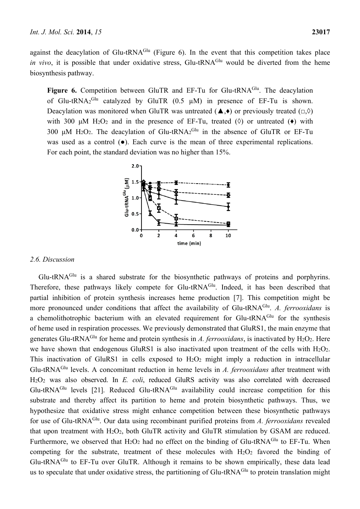against the deacylation of Glu-tRNA $^{Glu}$  (Figure 6). In the event that this competition takes place *in vivo*, it is possible that under oxidative stress, Glu-tRNA<sup>Glu</sup> would be diverted from the heme biosynthesis pathway.

**Figure 6.** Competition between GluTR and EF-Tu for Glu-tRNA<sup>Glu</sup>. The deacylation of Glu-tRNA<sub>2</sub><sup>Glu</sup> catalyzed by GluTR (0.5  $\mu$ M) in presence of EF-Tu is shown. Deacylation was monitored when GluTR was untreated (▲,♦) or previously treated (**□**,◊) with 300 μM H<sub>2</sub>O<sub>2</sub> and in the presence of EF-Tu, treated ( $\Diamond$ ) or untreated ( $\bullet$ ) with 300 μM H<sub>2</sub>O<sub>2</sub>. The deacylation of Glu-tRNA<sub>2</sub><sup>Glu</sup> in the absence of GluTR or EF-Tu was used as a control  $(\bullet)$ . Each curve is the mean of three experimental replications. For each point, the standard deviation was no higher than 15%.



#### *2.6. Discussion*

Glu-tRNAGlu is a shared substrate for the biosynthetic pathways of proteins and porphyrins. Therefore, these pathways likely compete for Glu-tRNA<sup>Glu</sup>. Indeed, it has been described that partial inhibition of protein synthesis increases heme production [7]. This competition might be more pronounced under conditions that affect the availability of Glu-tRNA<sup>Glu</sup>. *A. ferrooxidans* is a chemolithotrophic bacterium with an elevated requirement for Glu-tRNA<sup>Glu</sup> for the synthesis of heme used in respiration processes. We previously demonstrated that GluRS1, the main enzyme that generates Glu-tRNA<sup>Glu</sup> for heme and protein synthesis in *A. ferrooxidans*, is inactivated by  $H_2O_2$ . Here we have shown that endogenous GluRS1 is also inactivated upon treatment of the cells with H<sub>2</sub>O<sub>2</sub>. This inactivation of GluRS1 in cells exposed to  $H_2O_2$  might imply a reduction in intracellular Glu-tRNAGlu levels. A concomitant reduction in heme levels in *A. ferrooxidans* after treatment with H2O2 was also observed. In *E. coli*, reduced GluRS activity was also correlated with decreased Glu-tRNA<sup>Glu</sup> levels [21]. Reduced Glu-tRNA<sup>Glu</sup> availability could increase competition for this substrate and thereby affect its partition to heme and protein biosynthetic pathways. Thus, we hypothesize that oxidative stress might enhance competition between these biosynthetic pathways for use of Glu-tRNAGlu. Our data using recombinant purified proteins from *A. ferrooxidans* revealed that upon treatment with H2O2, both GluTR activity and GluTR stimulation by GSAM are reduced. Furthermore, we observed that  $H_2O_2$  had no effect on the binding of Glu-tRNA<sup>Glu</sup> to EF-Tu. When competing for the substrate, treatment of these molecules with  $H_2O_2$  favored the binding of Glu-tRNAGlu to EF-Tu over GluTR. Although it remains to be shown empirically, these data lead us to speculate that under oxidative stress, the partitioning of Glu-tRNA<sup>Glu</sup> to protein translation might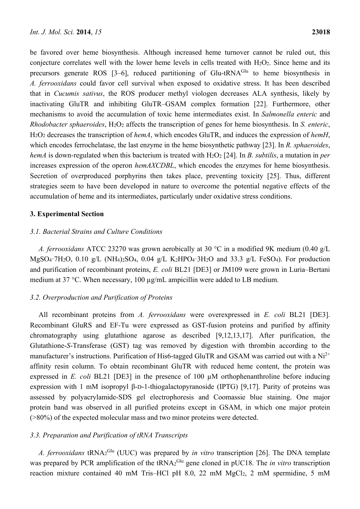be favored over heme biosynthesis. Although increased heme turnover cannot be ruled out, this conjecture correlates well with the lower heme levels in cells treated with  $H_2O_2$ . Since heme and its precursors generate ROS  $[3-6]$ , reduced partitioning of Glu-tRNA<sup>Glu</sup> to heme biosynthesis in *A. ferrooxidans* could favor cell survival when exposed to oxidative stress. It has been described that in *Cucumis sativus*, the ROS producer methyl viologen decreases ALA synthesis, likely by inactivating GluTR and inhibiting GluTR–GSAM complex formation [22]. Furthermore, other mechanisms to avoid the accumulation of toxic heme intermediates exist. In *Salmonella enteric* and *Rhodobacter sphaeroides*, H2O2 affects the transcription of genes for heme biosynthesis. In *S. enteric*, H2O2 decreases the transcription of *hemA*, which encodes GluTR, and induces the expression of *hemH*, which encodes ferrochelatase, the last enzyme in the heme biosynthetic pathway [23]. In *R. sphaeroides*, *hemA* is down-regulated when this bacterium is treated with H<sub>2</sub>O<sub>2</sub> [24]. In *B. subtilis*, a mutation in *per* increases expression of the operon *hemAXCDBL*, which encodes the enzymes for heme biosynthesis. Secretion of overproduced porphyrins then takes place, preventing toxicity [25]. Thus, different strategies seem to have been developed in nature to overcome the potential negative effects of the accumulation of heme and its intermediates, particularly under oxidative stress conditions.

#### **3. Experimental Section**

#### *3.1. Bacterial Strains and Culture Conditions*

*A. ferrooxidans* ATCC 23270 was grown aerobically at 30 °C in a modified 9K medium (0.40 g/L MgSO<sub>4</sub>·7H<sub>2</sub>O, 0.10 g/L (NH<sub>4</sub>)<sub>2</sub>SO<sub>4</sub>, 0.04 g/L K<sub>2</sub>HPO<sub>4</sub>·3H<sub>2</sub>O and 33.3 g/L FeSO<sub>4</sub>). For production and purification of recombinant proteins, *E. coli* BL21 [DE3] or JM109 were grown in Luria–Bertani medium at 37 °C. When necessary, 100  $\mu$ g/mL ampicillin were added to LB medium.

#### *3.2. Overproduction and Purification of Proteins*

All recombinant proteins from *A. ferrooxidans* were overexpressed in *E. coli* BL21 [DE3]. Recombinant GluRS and EF-Tu were expressed as GST-fusion proteins and purified by affinity chromatography using glutathione agarose as described [9,12,13,17]. After purification, the Glutathione-*S*-Transferase (GST) tag was removed by digestion with thrombin according to the manufacturer's instructions. Purification of His6-tagged GluTR and GSAM was carried out with a  $Ni^{2+}$ affinity resin column. To obtain recombinant GluTR with reduced heme content, the protein was expressed in *E. coli* BL21 [DE3] in the presence of 100 µM orthophenanthroline before inducing expression with 1 mM isopropyl β-D-1-thiogalactopyranoside (IPTG) [9,17]. Purity of proteins was assessed by polyacrylamide-SDS gel electrophoresis and Coomassie blue staining. One major protein band was observed in all purified proteins except in GSAM, in which one major protein (>80%) of the expected molecular mass and two minor proteins were detected.

#### *3.3. Preparation and Purification of tRNA Transcripts*

*A. ferrooxidans* tRNA2 Glu (UUC) was prepared by *in vitro* transcription [26]. The DNA template was prepared by PCR amplification of the tRNA<sub>2</sub><sup>Glu</sup> gene cloned in pUC18. The *in vitro* transcription reaction mixture contained 40 mM Tris–HCl pH 8.0, 22 mM MgCl2, 2 mM spermidine, 5 mM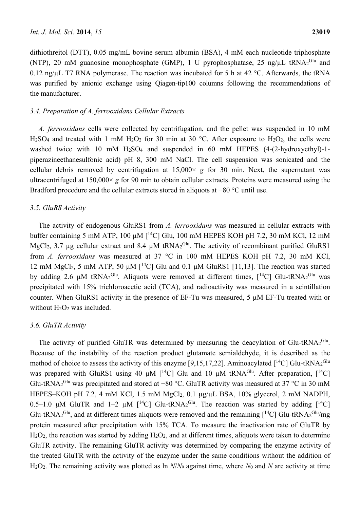dithiothreitol (DTT), 0.05 mg/mL bovine serum albumin (BSA), 4 mM each nucleotide triphosphate (NTP), 20 mM guanosine monophosphate (GMP), 1 U pyrophosphatase, 25 ng/ $\mu$ L tRNA<sub>2</sub><sup>Glu</sup> and 0.12 ng/ $\mu$ L T7 RNA polymerase. The reaction was incubated for 5 h at 42 °C. Afterwards, the tRNA was purified by anionic exchange using Qiagen-tip100 columns following the recommendations of the manufacturer.

#### *3.4. Preparation of A. ferrooxidans Cellular Extracts*

*A. ferrooxidans* cells were collected by centrifugation, and the pellet was suspended in 10 mM H<sub>2</sub>SO<sub>4</sub> and treated with 1 mM H<sub>2</sub>O<sub>2</sub> for 30 min at 30 °C. After exposure to H<sub>2</sub>O<sub>2</sub>, the cells were washed twice with 10 mM H<sub>2</sub>SO<sub>4</sub> and suspended in 60 mM HEPES (4-(2-hydroxyethyl)-1piperazineethanesulfonic acid) pH 8, 300 mM NaCl. The cell suspension was sonicated and the cellular debris removed by centrifugation at  $15,000 \times g$  for 30 min. Next, the supernatant was ultracentrifuged at  $150,000 \times g$  for 90 min to obtain cellular extracts. Proteins were measured using the Bradford procedure and the cellular extracts stored in aliquots at −80 °C until use.

#### *3.5. GluRS Activity*

The activity of endogenous GluRS1 from *A. ferrooxidans* was measured in cellular extracts with buffer containing 5 mM ATP, 100  $\mu$ M  $\lceil$ <sup>14</sup>C $\rceil$  Glu, 100 mM HEPES KOH pH 7.2, 30 mM KCl, 12 mM MgCl<sub>2</sub>, 3.7 µg cellular extract and 8.4 µM tRNA<sub>2</sub><sup>Glu</sup>. The activity of recombinant purified GluRS1 from *A. ferrooxidans* was measured at 37 °C in 100 mM HEPES KOH pH 7.2, 30 mM KCl, 12 mM MgCl<sub>2</sub>, 5 mM ATP, 50  $\mu$ M [<sup>14</sup>C] Glu and 0.1  $\mu$ M GluRS1 [11,13]. The reaction was started by adding 2.6  $\mu$ M tRNA<sub>2</sub><sup>Glu</sup>. Aliquots were removed at different times, [<sup>14</sup>C] Glu-tRNA<sub>2</sub><sup>Glu</sup> was precipitated with 15% trichloroacetic acid (TCA), and radioactivity was measured in a scintillation counter. When GluRS1 activity in the presence of EF-Tu was measured, 5 µM EF-Tu treated with or without H<sub>2</sub>O<sub>2</sub> was included.

#### *3.6. GluTR Activity*

The activity of purified GluTR was determined by measuring the deacylation of Glu-tRNA $2^{\text{Glu}}$ . Because of the instability of the reaction product glutamate semialdehyde, it is described as the method of choice to assess the activity of this enzyme [9,15,17,22]. Aminoacylated [<sup>14</sup>C] Glu-tRNA<sub>2</sub><sup>Glu</sup> was prepared with GluRS1 using 40  $\mu$ M [<sup>14</sup>C] Glu and 10  $\mu$ M tRNA<sup>Glu</sup>. After preparation, [<sup>14</sup>C] Glu-tRNA<sub>2</sub><sup>Glu</sup> was precipitated and stored at −80 °C. GluTR activity was measured at 37 °C in 30 mM HEPES–KOH pH 7.2, 4 mM KCl, 1.5 mM MgCl<sub>2</sub>, 0.1 µg/µL BSA, 10% glycerol, 2 mM NADPH, 0.5–1.0 μM GluTR and 1–2 μM [<sup>14</sup>C] Glu-tRNA<sub>2</sub><sup>Glu</sup>. The reaction was started by adding [<sup>14</sup>C] Glu-tRNA<sub>2</sub><sup>Glu</sup>, and at different times aliquots were removed and the remaining  $[$ <sup>14</sup>C] Glu-tRNA<sub>2</sub><sup>Glu</sup>/mg protein measured after precipitation with 15% TCA. To measure the inactivation rate of GluTR by  $H_2O_2$ , the reaction was started by adding  $H_2O_2$ , and at different times, aliquots were taken to determine GluTR activity. The remaining GluTR activity was determined by comparing the enzyme activity of the treated GluTR with the activity of the enzyme under the same conditions without the addition of H2O2. The remaining activity was plotted as ln *N*/*N*0 against time, where *N*0 and *N* are activity at time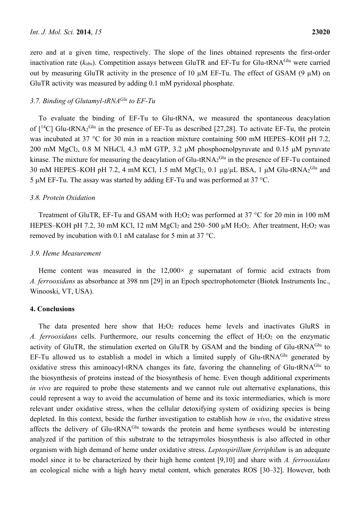zero and at a given time, respectively. The slope of the lines obtained represents the first-order inactivation rate  $(k_{obs})$ . Competition assays between GluTR and EF-Tu for Glu-tRNA<sup>Glu</sup> were carried out by measuring GluTR activity in the presence of 10  $\mu$ M EF-Tu. The effect of GSAM (9  $\mu$ M) on GluTR activity was measured by adding 0.1 mM pyridoxal phosphate.

### *3.7. Binding of Glutamyl-tRNAGlu to EF-Tu*

To evaluate the binding of EF-Tu to Glu-tRNA, we measured the spontaneous deacylation of  $[{}^{14}C]$  Glu-tRNA<sub>2</sub><sup>Glu</sup> in the presence of EF-Tu as described [27,28]. To activate EF-Tu, the protein was incubated at 37 °C for 30 min in a reaction mixture containing 500 mM HEPES–KOH pH 7.2, 200 mM MgCl2, 0.8 M NH4Cl, 4.3 mM GTP, 3.2 μM phosphoenolpyruvate and 0.15 μM pyruvate kinase. The mixture for measuring the deacylation of Glu-tRNA $_2$ <sup>Glu</sup> in the presence of EF-Tu contained 30 mM HEPES–KOH pH 7.2, 4 mM KCl, 1.5 mM MgCl<sub>2</sub>, 0.1  $\mu$ g/ $\mu$ L BSA, 1  $\mu$ M Glu-tRNA<sub>2</sub><sup>Glu</sup> and 5 μM EF-Tu. The assay was started by adding EF-Tu and was performed at 37 °C.

#### *3.8. Protein Oxidation*

Treatment of GluTR, EF-Tu and GSAM with  $H_2O_2$  was performed at 37 °C for 20 min in 100 mM HEPES–KOH pH 7.2, 30 mM KCl, 12 mM MgCl<sub>2</sub> and 250–500  $\mu$ M H<sub>2</sub>O<sub>2</sub>. After treatment, H<sub>2</sub>O<sub>2</sub> was removed by incubation with 0.1 nM catalase for 5 min at 37 °C.

#### *3.9. Heme Measurement*

Heme content was measured in the 12,000× *g* supernatant of formic acid extracts from *A. ferrooxidans* as absorbance at 398 nm [29] in an Epoch spectrophotometer (Biotek Instruments Inc., Winooski, VT, USA).

#### **4. Conclusions**

The data presented here show that  $H_2O_2$  reduces heme levels and inactivates GluRS in *A. ferrooxidans* cells. Furthermore, our results concerning the effect of H<sub>2</sub>O<sub>2</sub> on the enzymatic activity of GluTR, the stimulation exerted on GluTR by GSAM and the binding of Glu-tRNA<sup>Glu</sup> to EF-Tu allowed us to establish a model in which a limited supply of Glu-tRNA<sup>Glu</sup> generated by oxidative stress this aminoacyl-tRNA changes its fate, favoring the channeling of Glu-tRNA<sup>Glu</sup> to the biosynthesis of proteins instead of the biosynthesis of heme. Even though additional experiments *in vivo* are required to probe these statements and we cannot rule out alternative explanations, this could represent a way to avoid the accumulation of heme and its toxic intermediaries, which is more relevant under oxidative stress, when the cellular detoxifying system of oxidizing species is being depleted. In this context, beside the further investigation to establish how *in vivo*, the oxidative stress affects the delivery of Glu-tRNA<sup>Glu</sup> towards the protein and heme syntheses would be interesting analyzed if the partition of this substrate to the tetrapyrroles biosynthesis is also affected in other organism with high demand of heme under oxidative stress. *Leptospirillum ferriphilum* is an adequate model since it to be characterized by their high heme content [9,10] and share with *A. ferrooxidans*  an ecological niche with a high heavy metal content, which generates ROS [30–32]. However, both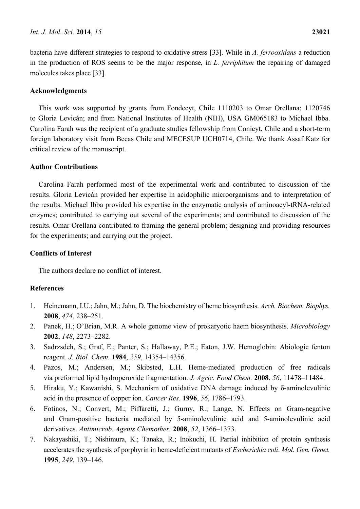bacteria have different strategies to respond to oxidative stress [33]. While in *A. ferrooxidans* a reduction in the production of ROS seems to be the major response, in *L. ferriphilum* the repairing of damaged molecules takes place [33].

#### **Acknowledgments**

This work was supported by grants from Fondecyt, Chile 1110203 to Omar Orellana; 1120746 to Gloria Levicán; and from National Institutes of Health (NIH), USA GM065183 to Michael Ibba. Carolina Farah was the recipient of a graduate studies fellowship from Conicyt, Chile and a short-term foreign laboratory visit from Becas Chile and MECESUP UCH0714, Chile. We thank Assaf Katz for critical review of the manuscript.

#### **Author Contributions**

Carolina Farah performed most of the experimental work and contributed to discussion of the results. Gloria Levicán provided her expertise in acidophilic microorganisms and to interpretation of the results. Michael Ibba provided his expertise in the enzymatic analysis of aminoacyl-tRNA-related enzymes; contributed to carrying out several of the experiments; and contributed to discussion of the results. Omar Orellana contributed to framing the general problem; designing and providing resources for the experiments; and carrying out the project.

#### **Conflicts of Interest**

The authors declare no conflict of interest.

#### **References**

- 1. Heinemann, I.U.; Jahn, M.; Jahn, D. The biochemistry of heme biosynthesis. *Arch. Biochem. Biophys.* **2008**, *474*, 238–251.
- 2. Panek, H.; O'Brian, M.R. A whole genome view of prokaryotic haem biosynthesis. *Microbiology* **2002**, *148*, 2273–2282.
- 3. Sadrzsdeh, S.; Graf, E.; Panter, S.; Hallaway, P.E.; Eaton, J.W. Hemoglobin: Abiologic fenton reagent. *J. Biol. Chem.* **1984**, *259*, 14354–14356.
- 4. Pazos, M.; Andersen, M.; Skibsted, L.H. Heme-mediated production of free radicals via preformed lipid hydroperoxide fragmentation. *J. Agric. Food Chem.* **2008**, *56*, 11478–11484.
- 5. Hiraku, Y.; Kawanishi, S. Mechanism of oxidative DNA damage induced by δ-aminolevulinic acid in the presence of copper ion. *Cancer Res.* **1996**, *56*, 1786–1793.
- 6. Fotinos, N.; Convert, M.; Piffaretti, J.; Gurny, R.; Lange, N. Effects on Gram-negative and Gram-positive bacteria mediated by 5-aminolevulinic acid and 5-aminolevulinic acid derivatives. *Antimicrob. Agents Chemother.* **2008**, *52*, 1366–1373.
- 7. Nakayashiki, T.; Nishimura, K.; Tanaka, R.; Inokuchi, H. Partial inhibition of protein synthesis accelerates the synthesis of porphyrin in heme-deficient mutants of *Escherichia coli*. *Mol. Gen. Genet.* **1995**, *249*, 139–146.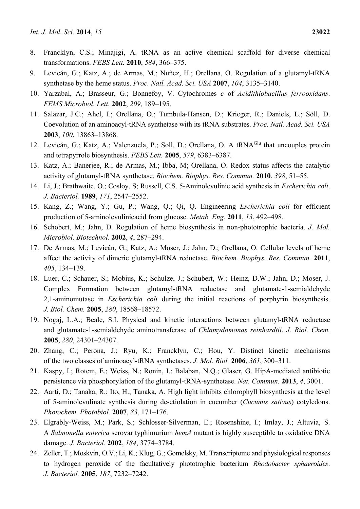- 8. Francklyn, C.S.; Minajigi, A. tRNA as an active chemical scaffold for diverse chemical transformations. *FEBS Lett.* **2010**, *584*, 366–375.
- 9. Levicán, G.; Katz, A.; de Armas, M.; Nuñez, H.; Orellana, O. Regulation of a glutamyl-tRNA synthetase by the heme status. *Proc. Natl. Acad. Sci. USA* **2007**, *104*, 3135–3140.
- 10. Yarzabal, A.; Brasseur, G.; Bonnefoy, V. Cytochromes *c* of *Acidithiobacillus ferrooxidans*. *FEMS Microbiol. Lett.* **2002**, *209*, 189–195.
- 11. Salazar, J.C.; Ahel, I.; Orellana, O.; Tumbula-Hansen, D.; Krieger, R.; Daniels, L.; Söll, D. Coevolution of an aminoacyl-tRNA synthetase with its tRNA substrates. *Proc. Natl. Acad. Sci. USA* **2003**, *100*, 13863–13868.
- 12. Levicán, G.; Katz, A.; Valenzuela, P.; Soll, D.; Orellana, O. A tRNA<sup>Glu</sup> that uncouples protein and tetrapyrrole biosynthesis. *FEBS Lett.* **2005**, *579*, 6383–6387.
- 13. Katz, A.; Banerjee, R.; de Armas, M.; Ibba, M; Orellana, O. Redox status affects the catalytic activity of glutamyl-tRNA synthetase. *Biochem. Biophys. Res. Commun.* **2010**, *398*, 51–55.
- 14. Li, J.; Brathwaite, O.; Cosloy, S; Russell, C.S. 5-Aminolevulinic acid synthesis in *Escherichia coli*. *J. Bacteriol.* **1989**, *171*, 2547–2552.
- 15. Kang, Z.; Wang, Y.; Gu, P.; Wang, Q.; Qi, Q. Engineering *Escherichia coli* for efficient production of 5-aminolevulinicacid from glucose. *Metab. Eng.* **2011**, *13*, 492–498.
- 16. Schobert, M.; Jahn, D. Regulation of heme biosynthesis in non-phototrophic bacteria. *J. Mol. Microbiol. Biotechnol.* **2002**, *4*, 287–294.
- 17. De Armas, M.; Levicán, G.; Katz, A.; Moser, J.; Jahn, D.; Orellana, O. Cellular levels of heme affect the activity of dimeric glutamyl-tRNA reductase. *Biochem. Biophys. Res. Commun.* **2011**, *405*, 134–139.
- 18. Luer, C.; Schauer, S.; Mobius, K.; Schulze, J.; Schubert, W.; Heinz, D.W.; Jahn, D.; Moser, J. Complex Formation between glutamyl-tRNA reductase and glutamate-1-semialdehyde 2,1-aminomutase in *Escherichia coli* during the initial reactions of porphyrin biosynthesis. *J. Biol. Chem.* **2005**, *280*, 18568–18572.
- 19. Nogaj, L.A.; Beale, S.I. Physical and kinetic interactions between glutamyl-tRNA reductase and glutamate-1-semialdehyde aminotransferase of *Chlamydomonas reinhardtii*. *J. Biol. Chem.*  **2005**, *280*, 24301–24307.
- 20. Zhang, C.; Perona, J.; Ryu, K.; Francklyn, C.; Hou, Y. Distinct kinetic mechanisms of the two classes of aminoacyl-tRNA synthetases. *J. Mol. Biol.* **2006**, *361*, 300–311.
- 21. Kaspy, I.; Rotem, E.; Weiss, N.; Ronin, I.; Balaban, N.Q.; Glaser, G. HipA-mediated antibiotic persistence via phosphorylation of the glutamyl-tRNA-synthetase. *Nat. Commun.* **2013**, *4*, 3001.
- 22. Aarti, D.; Tanaka, R.; Ito, H.; Tanaka, A. High light inhibits chlorophyll biosynthesis at the level of 5-aminolevulinate synthesis during de-etiolation in cucumber (*Cucumis sativus*) cotyledons. *Photochem. Photobiol.* **2007**, *83*, 171–176.
- 23. Elgrably-Weiss, M.; Park, S.; Schlosser-Silverman, E.; Rosenshine, I.; Imlay, J.; Altuvia, S. A *Salmonella enterica* serovar typhimurium *hemA* mutant is highly susceptible to oxidative DNA damage. *J. Bacteriol.* **2002**, *184*, 3774–3784.
- 24. Zeller, T.; Moskvin, O.V.;Li, K.; Klug, G.; Gomelsky, M. Transcriptome and physiological responses to hydrogen peroxide of the facultatively phototrophic bacterium *Rhodobacter sphaeroides*. *J. Bacteriol.* **2005**, *187*, 7232–7242.